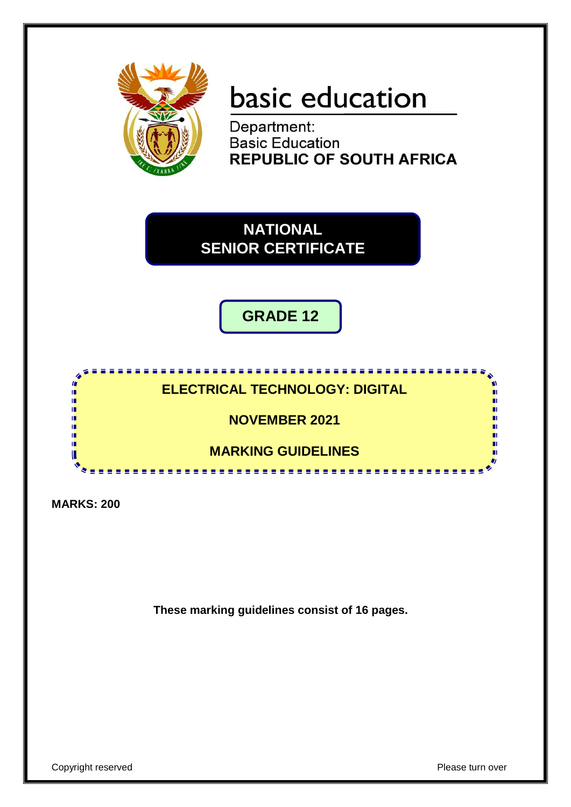

# basic education

Department: **Basic Education REPUBLIC OF SOUTH AFRICA** 

**NATIONAL SENIOR CERTIFICATE**

**GRADE 12**

### **ELECTRICAL TECHNOLOGY: DIGITAL**

**NOVEMBER 2021**

**MARKING GUIDELINES**

<u>. . . . . . . . . . . . . . . . . . .</u>

**MARKS: 200**

ı. ı. ΙĖ, if. í. m ıŕ U

**These marking guidelines consist of 16 pages.**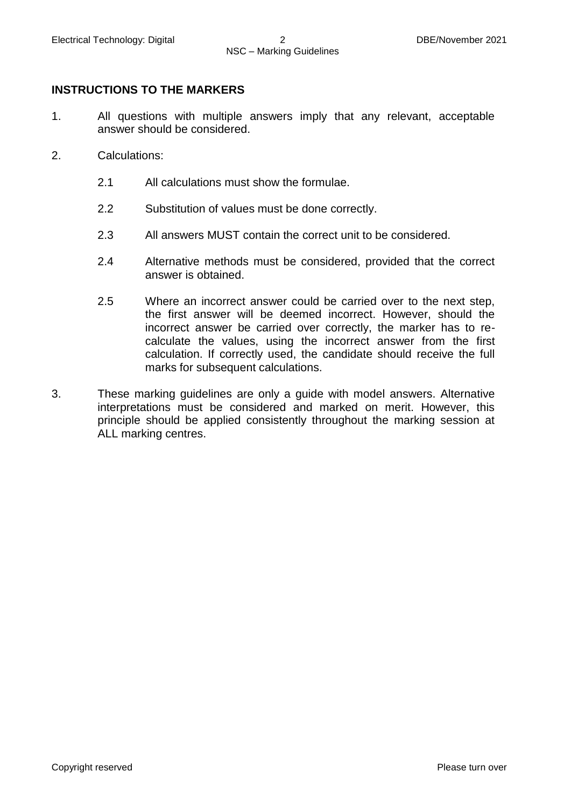### **INSTRUCTIONS TO THE MARKERS**

- 1. All questions with multiple answers imply that any relevant, acceptable answer should be considered.
- 2. Calculations:
	- 2.1 All calculations must show the formulae.
	- 2.2 Substitution of values must be done correctly.
	- 2.3 All answers MUST contain the correct unit to be considered.
	- 2.4 Alternative methods must be considered, provided that the correct answer is obtained.
	- 2.5 Where an incorrect answer could be carried over to the next step, the first answer will be deemed incorrect. However, should the incorrect answer be carried over correctly, the marker has to recalculate the values, using the incorrect answer from the first calculation. If correctly used, the candidate should receive the full marks for subsequent calculations.
- 3. These marking guidelines are only a guide with model answers. Alternative interpretations must be considered and marked on merit. However, this principle should be applied consistently throughout the marking session at ALL marking centres.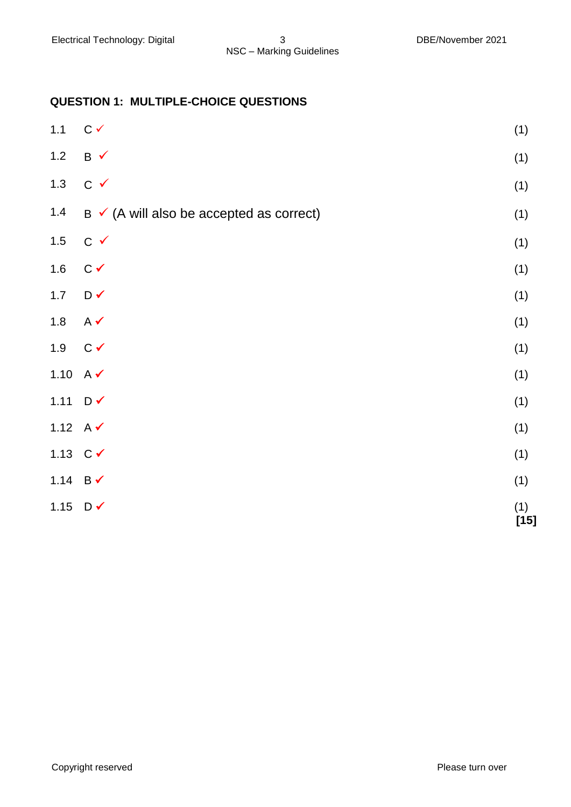### **QUESTION 1: MULTIPLE-CHOICE QUESTIONS**

| $1.1$               | $C \checkmark$                                      | (1)           |
|---------------------|-----------------------------------------------------|---------------|
| $1.2$               | $B \checkmark$                                      | (1)           |
| $1.3$               | $C \checkmark$                                      | (1)           |
| $1.4$               | $B \checkmark$ (A will also be accepted as correct) | (1)           |
| $1.5$               | $C \vee$                                            | (1)           |
| 1.6                 | $C \checkmark$                                      | (1)           |
| $1.7$               | $D \checkmark$                                      | (1)           |
| $1.8$               | $A \checkmark$                                      | (1)           |
| 1.9                 | $C \checkmark$                                      | (1)           |
| 1.10 $A \checkmark$ |                                                     | (1)           |
| 1.11                | $D \vee$                                            | (1)           |
| 1.12 $A \checkmark$ |                                                     | (1)           |
| 1.13 $C \checkmark$ |                                                     | (1)           |
| 1.14 $B \checkmark$ |                                                     | (1)           |
| 1.15                | $D \checkmark$                                      | (1)<br>$[15]$ |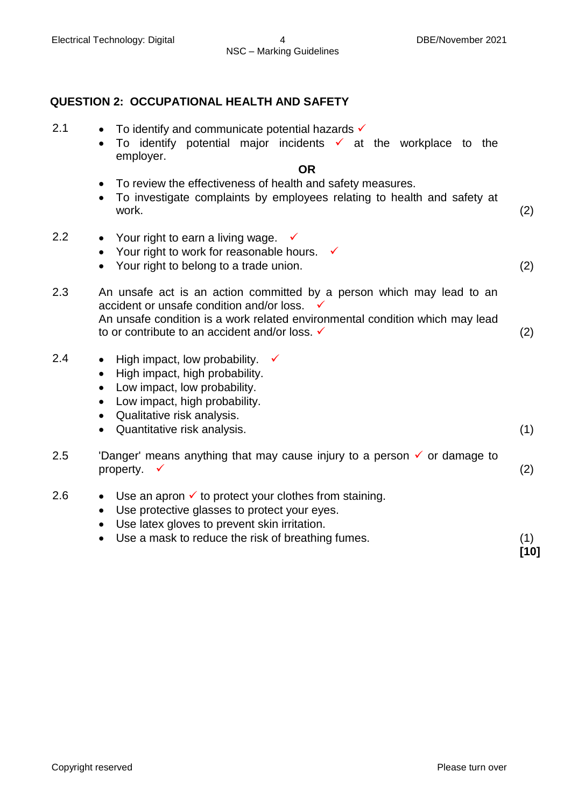### **QUESTION 2: OCCUPATIONAL HEALTH AND SAFETY**

- 2.1  $\bullet$  To identify and communicate potential hazards  $\checkmark$ 
	- $\bullet$  To identify potential major incidents  $\checkmark$  at the workplace to the employer.

### **OR**

- To review the effectiveness of health and safety measures.
- To investigate complaints by employees relating to health and safety at work. (2)
- 2.2 Your right to earn a living wage.  $\checkmark$ 
	- Your right to work for reasonable hours.  $\checkmark$
	- Your right to belong to a trade union. (2)
- 2.3 An unsafe act is an action committed by a person which may lead to an accident or unsafe condition and/or loss. An unsafe condition is a work related environmental condition which may lead to or contribute to an accident and/or loss.  $\checkmark$  (2)
- 2.4 High impact, low probability.  $\checkmark$ 
	- High impact, high probability.
	- Low impact, low probability.
	- Low impact, high probability.
	- Qualitative risk analysis.
	- Quantitative risk analysis. (1)
- 2.5 'Danger' means anything that may cause injury to a person  $\checkmark$  or damage to property.  $\checkmark$  (2)
- 2.6  $\bullet$  Use an apron  $\checkmark$  to protect your clothes from staining.
	- Use protective glasses to protect your eyes.
	- Use latex gloves to prevent skin irritation.
	- Use a mask to reduce the risk of breathing fumes. (1)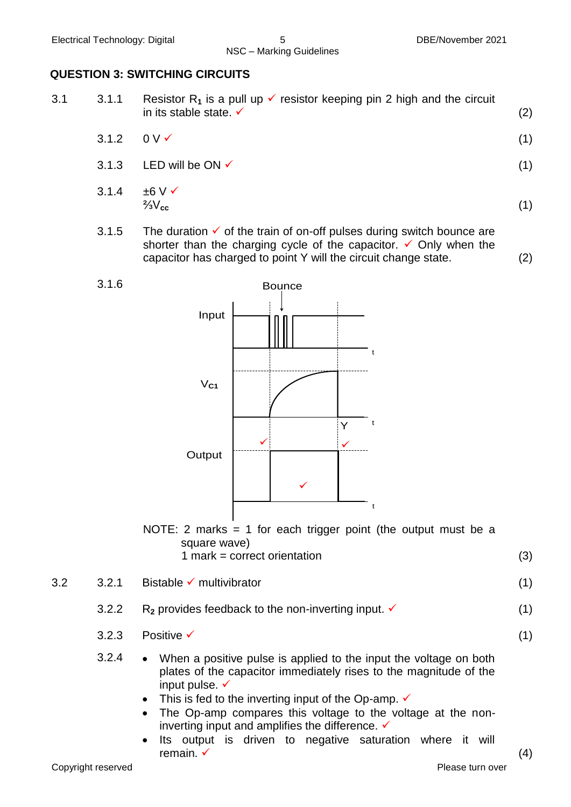3.1.6

### **QUESTION 3: SWITCHING CIRCUITS**

- 3.1 3.1.1 Resistor R<sub>1</sub> is a pull up  $\checkmark$  resistor keeping pin 2 high and the circuit in its stable state.  $\checkmark$  (2)
	- $3.1.2$  0 V  $\checkmark$  (1)
	- $3.1.3$  LED will be ON  $\checkmark$  (1)
	- $314 + 6V$  $\frac{2}{3}V_{cc}$  (1)
	- 3.1.5 The duration  $\checkmark$  of the train of on-off pulses during switch bounce are shorter than the charging cycle of the capacitor.  $\checkmark$  Only when the capacitor has charged to point Y will the circuit change state. (2)



NOTE: 2 marks  $= 1$  for each trigger point (the output must be a square wave)

1 mark = correct orientation (3)

 $3.2$   $3.2.1$  Bistable  $\checkmark$  multivibrator (1)

- 3.2.2  $R_2$  provides feedback to the non-inverting input.  $\checkmark$  (1)
	- $3.2.3$  Positive  $\checkmark$  (1)
	- 3.2.4 When a positive pulse is applied to the input the voltage on both plates of the capacitor immediately rises to the magnitude of the input pulse.  $\checkmark$ 
		- This is fed to the inverting input of the Op-amp.  $\checkmark$
		- The Op-amp compares this voltage to the voltage at the noninverting input and amplifies the difference.  $\checkmark$
		- Its output is driven to negative saturation where it will remain.  $\checkmark$  (4)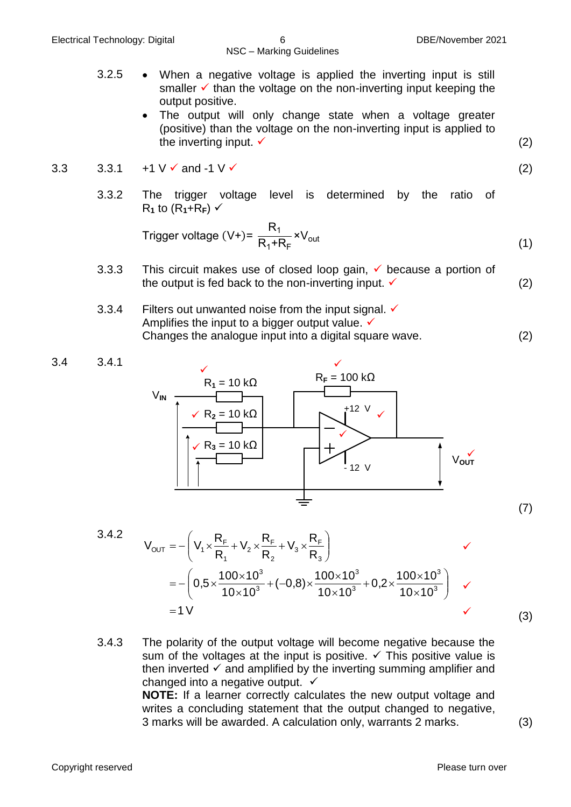- 3.2.5 When a negative voltage is applied the inverting input is still smaller  $\checkmark$  than the voltage on the non-inverting input keeping the output positive.
	- The output will only change state when a voltage greater (positive) than the voltage on the non-inverting input is applied to the inverting input.  $\checkmark$  (2)

3.3 3.3.1 +1 V 
$$
\checkmark
$$
 and -1 V  $\checkmark$  (2)

3.3.2 The trigger voltage level is determined by the ratio of  $R_1$  to ( $R_1$ + $R_F$ )  $\checkmark$ 

$$
Trigger voltage (V+) = \frac{R_1}{R_1 + R_F} \times V_{out}
$$
\n(1)

- 3.3.3 This circuit makes use of closed loop gain,  $\checkmark$  because a portion of the output is fed back to the non-inverting input.  $\checkmark$  (2)
- 3.3.4 Filters out unwanted noise from the input signal.  $\checkmark$ Amplifies the input to a bigger output value.  $\checkmark$ Changes the analogue input into a digital square wave. (2)



3.4.2  
\n
$$
V_{OUT} = -\left(V_1 \times \frac{R_F}{R_1} + V_2 \times \frac{R_F}{R_2} + V_3 \times \frac{R_F}{R_3}\right)
$$
\n
$$
= -\left(0.5 \times \frac{100 \times 10^3}{10 \times 10^3} + (-0.8) \times \frac{100 \times 10^3}{10 \times 10^3} + 0.2 \times \frac{100 \times 10^3}{10 \times 10^3}\right) \quad \checkmark
$$
\n
$$
= 1 \, \checkmark \tag{3}
$$

3.4.3 The polarity of the output voltage will become negative because the sum of the voltages at the input is positive.  $\checkmark$  This positive value is then inverted  $\checkmark$  and amplified by the inverting summing amplifier and changed into a negative output.  $\checkmark$ **NOTE:** If a learner correctly calculates the new output voltage and writes a concluding statement that the output changed to negative, 3 marks will be awarded. A calculation only, warrants 2 marks. (3)

(7)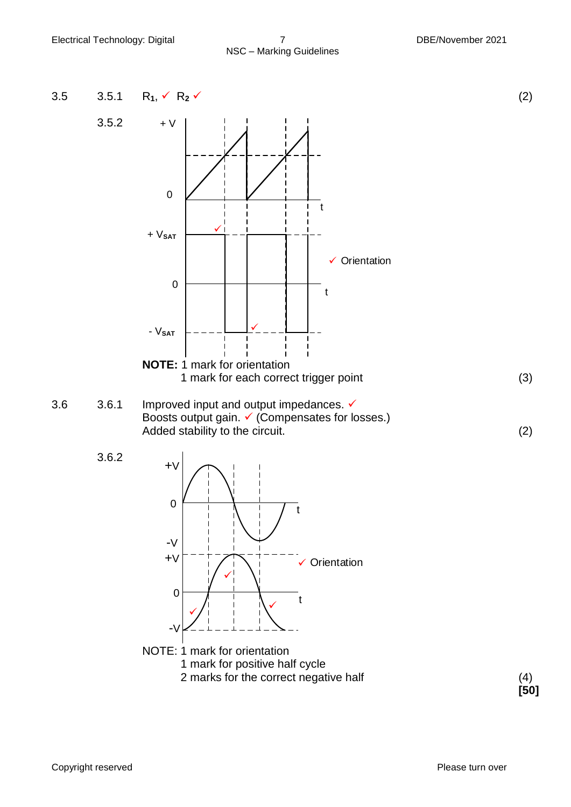## NSC – Marking Guidelines



**[50]**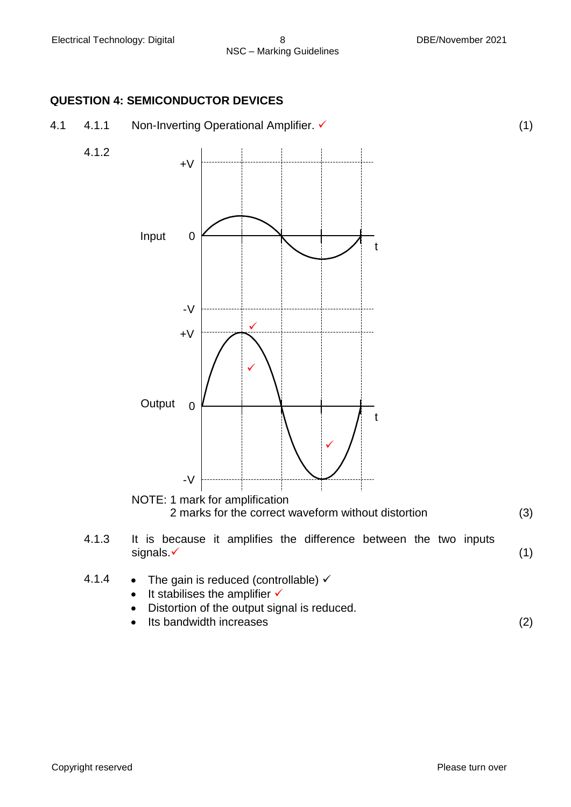4.1.2

### **QUESTION 4: SEMICONDUCTOR DEVICES**





2 marks for the correct waveform without distortion (3)

- 4.1.3 It is because it amplifies the difference between the two inputs  $signals.\checkmark$  (1)
- 4.1.4 The gain is reduced (controllable)  $\checkmark$ 
	- $\bullet$  It stabilises the amplifier  $\checkmark$
	- Distortion of the output signal is reduced.
	- Its bandwidth increases (2)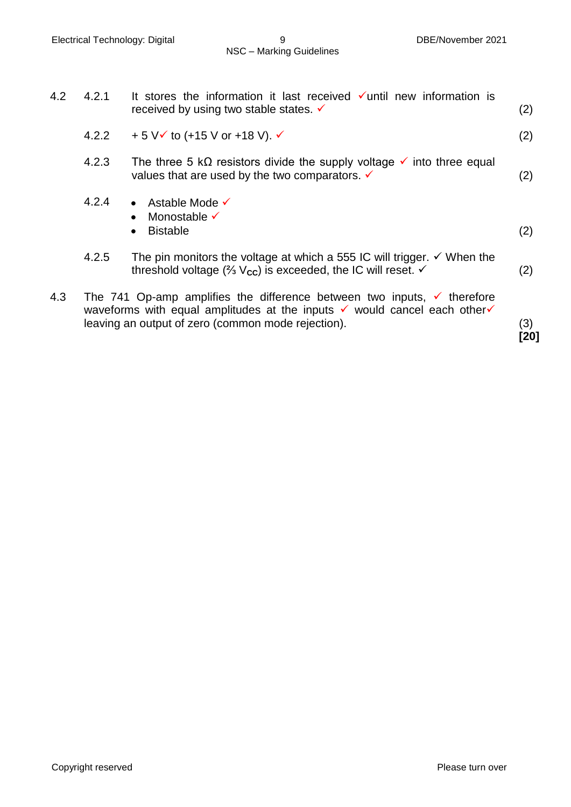| 4.2 | 4.2.1                                                                                                                                                                                                                                       | It stores the information it last received $\checkmark$ until new information is<br>received by using two stable states. V                                                             | (2) |  |  |
|-----|---------------------------------------------------------------------------------------------------------------------------------------------------------------------------------------------------------------------------------------------|----------------------------------------------------------------------------------------------------------------------------------------------------------------------------------------|-----|--|--|
|     | 4.2.2                                                                                                                                                                                                                                       | + 5 $V$ $\checkmark$ to (+15 $V$ or +18 $V$ ). $\checkmark$                                                                                                                            | (2) |  |  |
|     | 4.2.3                                                                                                                                                                                                                                       | The three 5 k $\Omega$ resistors divide the supply voltage $\checkmark$ into three equal<br>values that are used by the two comparators. $\checkmark$                                  | (2) |  |  |
|     | 4.2.4                                                                                                                                                                                                                                       | • Astable Mode $\checkmark$<br>Monostable $\checkmark$<br><b>Bistable</b>                                                                                                              | (2) |  |  |
|     | 4.2.5                                                                                                                                                                                                                                       | The pin monitors the voltage at which a 555 IC will trigger. $\checkmark$ When the<br>threshold voltage ( $\frac{2}{3}$ V <sub>cc</sub> ) is exceeded, the IC will reset. $\checkmark$ | (2) |  |  |
| 4.3 | The 741 Op-amp amplifies the difference between two inputs, $\checkmark$ therefore<br>waveforms with equal amplitudes at the inputs $\checkmark$ would cancel each other $\checkmark$<br>leaving an output of zero (common mode rejection). |                                                                                                                                                                                        |     |  |  |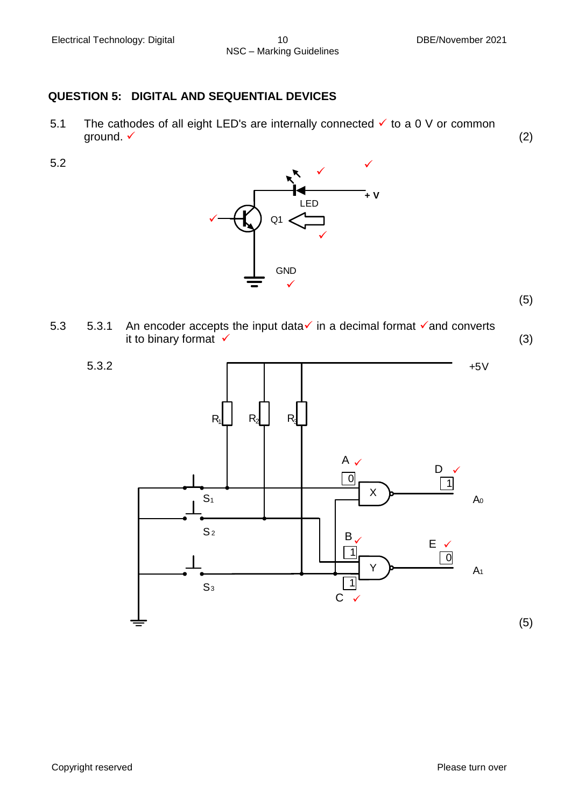## NSC – Marking Guidelines

### **QUESTION 5: DIGITAL AND SEQUENTIAL DEVICES**

5.1 The cathodes of all eight LED's are internally connected  $\checkmark$  to a 0 V or common ground.  $\checkmark$  (2)

5.2



(5)

5.3 5.3.1 An encoder accepts the input data in a decimal format  $\checkmark$  and converts it to binary format  $\checkmark$  (3)

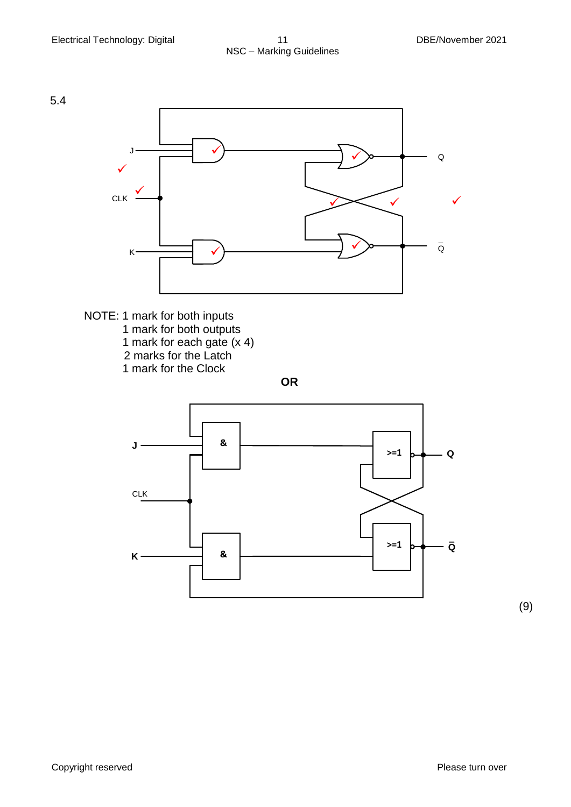





(9)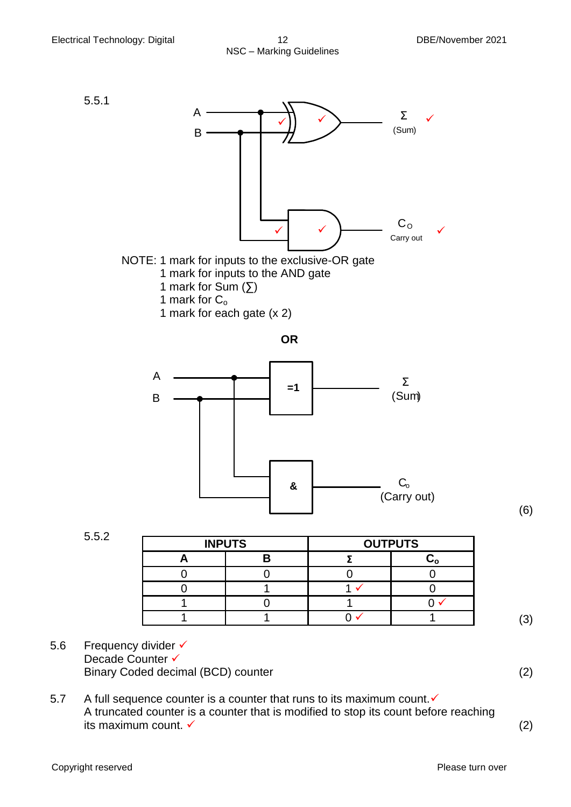

### NOTE: 1 mark for inputs to the exclusive-OR gate 1 mark for inputs to the AND gate 1 mark for Sum  $($ [ $)$ ] 1 mark for  $C_0$

1 mark for each gate (x 2)

**OR**



| 5.5.2 | <b>INPUTS</b> |  | <b>OUTPUTS</b> |  |
|-------|---------------|--|----------------|--|
|       |               |  |                |  |
|       |               |  |                |  |
|       |               |  |                |  |
|       |               |  |                |  |
|       |               |  |                |  |

(6)

- 5.6 Frequency divider √ Decade Counter √ Binary Coded decimal (BCD) counter (2) (2)
- 5.7 A full sequence counter is a counter that runs to its maximum count. $\checkmark$ A truncated counter is a counter that is modified to stop its count before reaching its maximum count.  $\checkmark$  (2)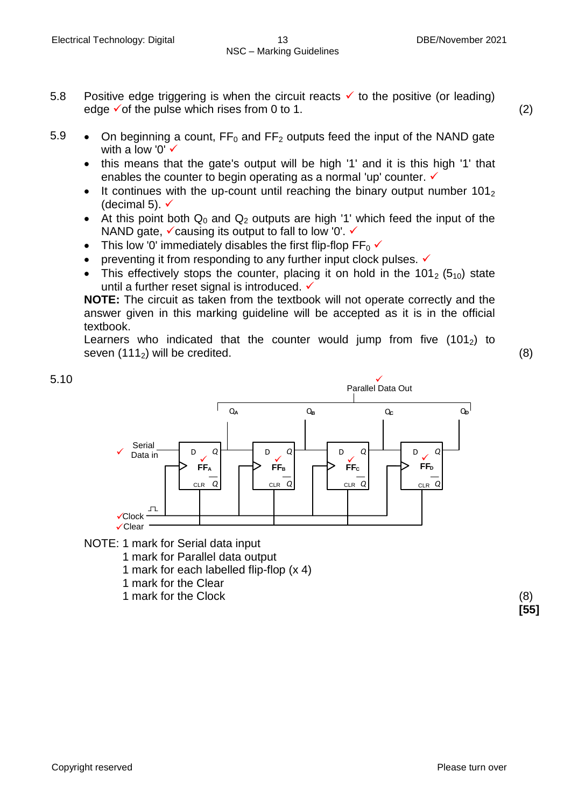- 5.8 Positive edge triggering is when the circuit reacts  $\checkmark$  to the positive (or leading) edge  $\checkmark$  of the pulse which rises from 0 to 1. (2)
	-
- 5.9 On beginning a count,  $FF_0$  and  $FF_2$  outputs feed the input of the NAND gate with a low '0' **✓** 
	- this means that the gate's output will be high '1' and it is this high '1' that enables the counter to begin operating as a normal 'up' counter.  $\checkmark$
	- It continues with the up-count until reaching the binary output number  $101<sub>2</sub>$ (decimal 5).  $\checkmark$
	- At this point both  $Q_0$  and  $Q_2$  outputs are high '1' which feed the input of the NAND gate,  $\checkmark$  causing its output to fall to low '0'.  $\checkmark$
	- This low '0' immediately disables the first flip-flop  $FF_0 \checkmark$
	- preventing it from responding to any further input clock pulses.  $\checkmark$
	- This effectively stops the counter, placing it on hold in the 101 $_2$  (5<sub>10</sub>) state until a further reset signal is introduced. ✓

**NOTE:** The circuit as taken from the textbook will not operate correctly and the answer given in this marking guideline will be accepted as it is in the official textbook.

Learners who indicated that the counter would jump from five  $(101<sub>2</sub>)$  to seven  $(111<sub>2</sub>)$  will be credited. (8)



- NOTE: 1 mark for Serial data input
	- 1 mark for Parallel data output
	- 1 mark for each labelled flip-flop (x 4)
	- 1 mark for the Clear
	- 1 mark for the Clock (8)

**[55]**

5.10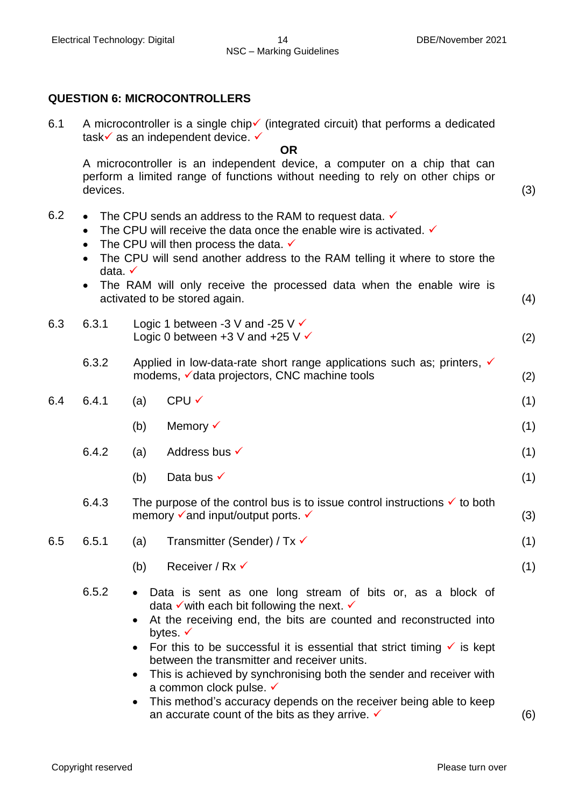### **QUESTION 6: MICROCONTROLLERS**

6.1 A microcontroller is a single chip  $\checkmark$  (integrated circuit) that performs a dedicated task $\checkmark$  as an independent device.  $\checkmark$ 

#### **OR**

A microcontroller is an independent device, a computer on a chip that can perform a limited range of functions without needing to rely on other chips or devices. (3)

- 6.2 The CPU sends an address to the RAM to request data.  $\checkmark$ 
	- The CPU will receive the data once the enable wire is activated.  $\checkmark$
	- The CPU will then process the data.  $\checkmark$
	- The CPU will send another address to the RAM telling it where to store the data.
	- The RAM will only receive the processed data when the enable wire is activated to be stored again. (4)
- 6.3 6.3.1 Logic 1 between -3 V and -25 V  $\checkmark$ Logic 0 between  $+3$  V and  $+25$  V  $\checkmark$  (2)
	- 6.3.2 Applied in low-data-rate short range applications such as: printers,  $\checkmark$ modems,  $\checkmark$  data projectors, CNC machine tools (2)
- $6.4$   $6.4.1$  (a) CPU  $\checkmark$  (1) (b) Memory  $\checkmark$  (1)
	- 6.4.2 (a) Address bus  $\checkmark$  (1)
		- (b) Data bus  $\checkmark$  (1)
	- 6.4.3 The purpose of the control bus is to issue control instructions  $\checkmark$  to both memory  $\checkmark$  and input/output ports.  $\checkmark$  (3)
- 6.5 6.5.1 (a) Transmitter (Sender) /  $Tx \checkmark$  (1)
	- (b) Receiver / Rx  $\checkmark$  (1)
	- 6.5.2 Data is sent as one long stream of bits or, as a block of data  $\checkmark$  with each bit following the next.  $\checkmark$ 
		- At the receiving end, the bits are counted and reconstructed into bytes.  $\checkmark$
		- For this to be successful it is essential that strict timing  $\checkmark$  is kept between the transmitter and receiver units.
		- This is achieved by synchronising both the sender and receiver with a common clock pulse.  $\checkmark$
		- This method's accuracy depends on the receiver being able to keep an accurate count of the bits as they arrive.  $\checkmark$  (6)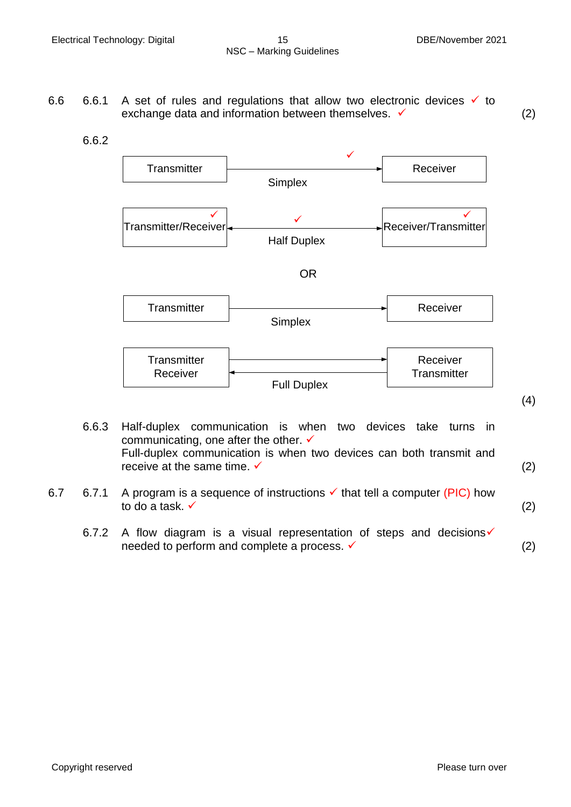- 6.6 6.6.1 A set of rules and regulations that allow two electronic devices  $\checkmark$  to exchange data and information between themselves.  $\checkmark$  (2)
	- 6.6.2



- 6.6.3 Half-duplex communication is when two devices take turns in communicating, one after the other. ✓ Full-duplex communication is when two devices can both transmit and receive at the same time.  $\checkmark$  (2)
- 6.7 6.7.1 A program is a sequence of instructions  $\checkmark$  that tell a computer (PIC) how to do a task.  $\checkmark$  (2)
	- 6.7.2 A flow diagram is a visual representation of steps and decisions  $\checkmark$ needed to perform and complete a process.  $\checkmark$  and  $(2)$

(4)